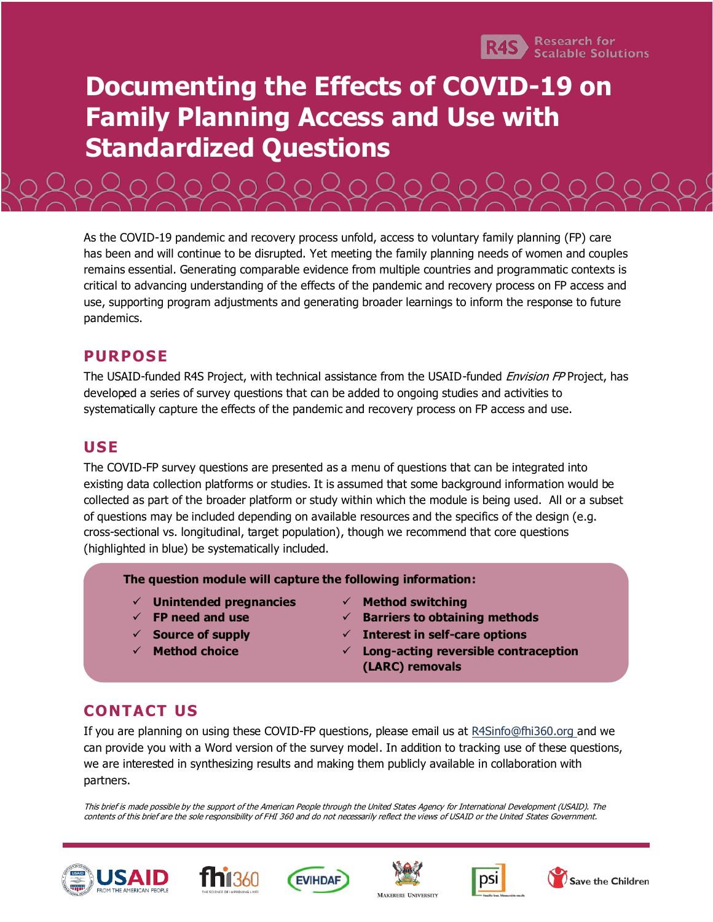

# **Documenting the Effects of COVID-19 on Family Planning Access and Use with Standardized Questions**

As the COVID-19 pandemic and recovery process unfold, access to voluntary family planning (FP) care has been and will continue to be disrupted. Yet meeting the family planning needs of women and couples remains essential. Generating comparable evidence from multiple countries and programmatic contexts is critical to advancing understanding of the effects of the pandemic and recovery process on FP access and use, supporting program adjustments and generating broader learnings to inform the response to future pandemics.

### **PURPOSE**

The USAID-funded R4S Project, with technical assistance from the USAID-funded *Envision FP* Project, has developed a series of survey questions that can be added to ongoing studies and activities to systematically capture the effects of the pandemic and recovery process on FP access and use.

## **USE**

The COVID-FP survey questions are presented as a menu of questions that can be integrated into existing data collection platforms or studies. It is assumed that some background information would be collected as part of the broader platform or study within which the module is being used. All or a subset of questions may be included depending on available resources and the specifics of the design (e.g. cross-sectional vs. longitudinal, target population), though we recommend that core questions (highlighted in blue) be systematically included.

**The question module will capture the following information:**

- ✓ **Unintended pregnancies** ✓ **Method switching**
- 
- 
- 
- 
- ✓ **FP need and use** ✓ **Barriers to obtaining methods**
- ✓ **Source of supply** ✓ **Interest in self-care options**
- ✓ **Method choice** ✓ **Long-acting reversible contraception (LARC) removals**

## **CONTACT US**

If you are planning on using these COVID-FP questions, please email us a[t R4Sinfo@fhi360.org](mailto:R4Sinfo@fhi360.org) and we can provide you with a Word version of the survey model. In addition to tracking use of these questions, we are interested in synthesizing results and making them publicly available in collaboration with partners.

This brief is made possible by the support of the American People through the United States Agency for International Development (USAID). The contents of this brief are the sole responsibility of FHI 360 and do not necessarily reflect the views of USAID or the United States Government.











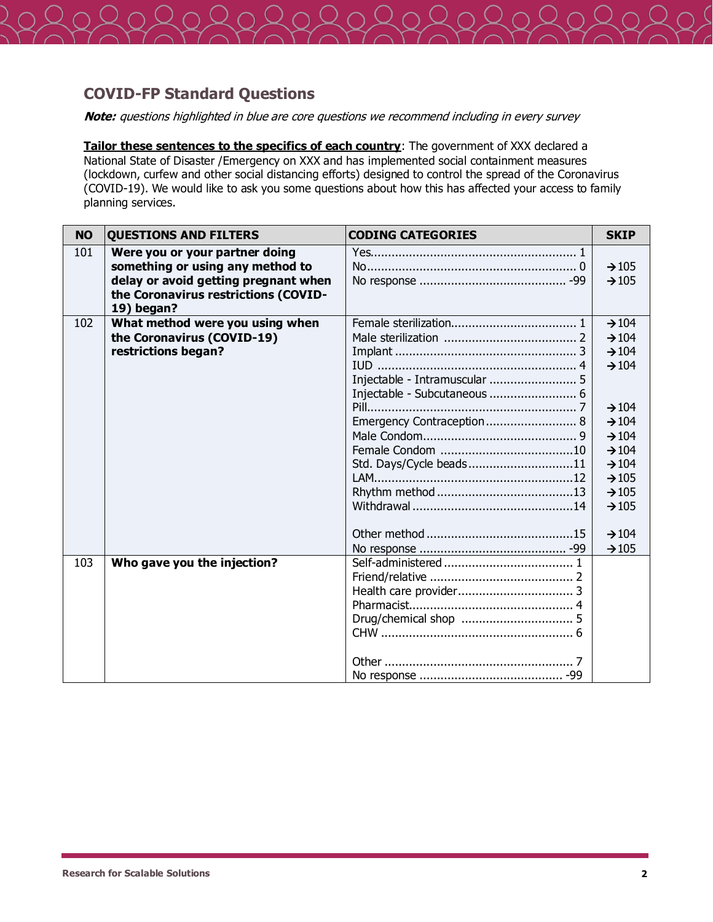

#### **COVID-FP Standard Questions**

**Note:** questions highlighted in blue are core questions we recommend including in every survey

**Tailor these sentences to the specifics of each country**: The government of XXX declared a National State of Disaster /Emergency on XXX and has implemented social containment measures (lockdown, curfew and other social distancing efforts) designed to control the spread of the Coronavirus (COVID-19). We would like to ask you some questions about how this has affected your access to family planning services.

| <b>NO</b> | <b>QUESTIONS AND FILTERS</b>                                                                                                                       | <b>CODING CATEGORIES</b>                                                                                              | <b>SKIP</b>                                                                                                                                                                                                                         |
|-----------|----------------------------------------------------------------------------------------------------------------------------------------------------|-----------------------------------------------------------------------------------------------------------------------|-------------------------------------------------------------------------------------------------------------------------------------------------------------------------------------------------------------------------------------|
| 101       | Were you or your partner doing<br>something or using any method to<br>delay or avoid getting pregnant when<br>the Coronavirus restrictions (COVID- |                                                                                                                       | $\rightarrow 105$<br>$\rightarrow 105$                                                                                                                                                                                              |
| 102       | 19) began?<br>What method were you using when<br>the Coronavirus (COVID-19)<br>restrictions began?                                                 | Injectable - Intramuscular  5<br>Injectable - Subcutaneous  6<br>Emergency Contraception 8<br>Std. Days/Cycle beads11 | $\rightarrow 104$<br>$\rightarrow 104$<br>$\rightarrow 104$<br>$\rightarrow 104$<br>$\rightarrow$ 104<br>$\rightarrow 104$<br>$\rightarrow 104$<br>$\rightarrow 104$<br>$\rightarrow 104$<br>$\rightarrow 105$<br>$\rightarrow 105$ |
| 103       | Who gave you the injection?                                                                                                                        |                                                                                                                       | $\rightarrow 105$<br>$\rightarrow$ 104<br>$\rightarrow 105$                                                                                                                                                                         |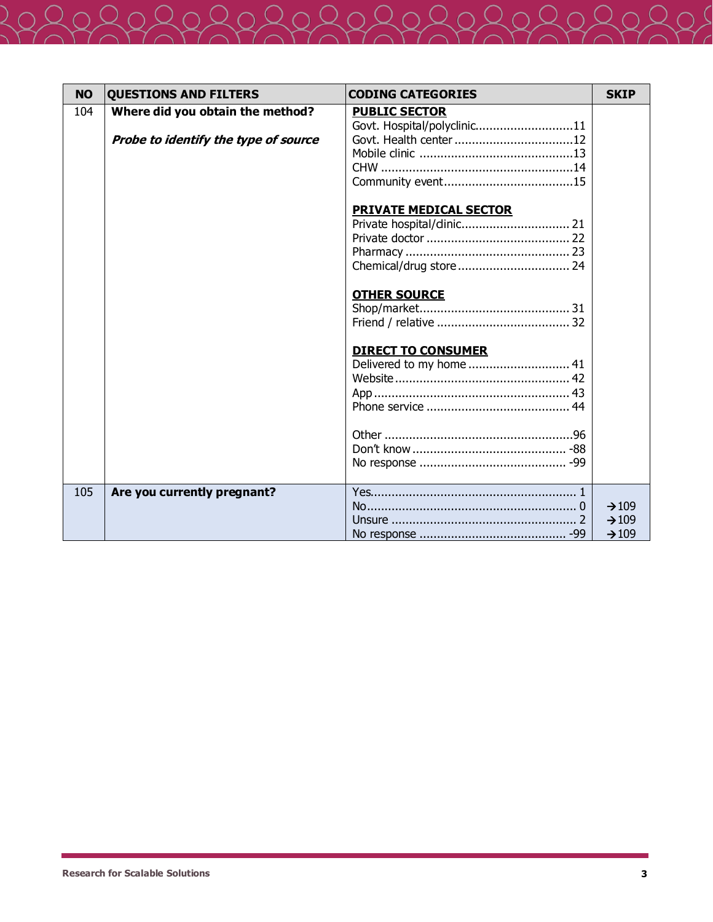| <b>NO</b> | <b>QUESTIONS AND FILTERS</b>         | <b>CODING CATEGORIES</b>                            | <b>SKIP</b>       |
|-----------|--------------------------------------|-----------------------------------------------------|-------------------|
| 104       | Where did you obtain the method?     | <b>PUBLIC SECTOR</b><br>Govt. Hospital/polyclinic11 |                   |
|           | Probe to identify the type of source | Govt. Health center 12                              |                   |
|           |                                      |                                                     |                   |
|           |                                      |                                                     |                   |
|           |                                      |                                                     |                   |
|           |                                      | <b>PRIVATE MEDICAL SECTOR</b>                       |                   |
|           |                                      |                                                     |                   |
|           |                                      |                                                     |                   |
|           |                                      |                                                     |                   |
|           |                                      |                                                     |                   |
|           |                                      | <b>OTHER SOURCE</b>                                 |                   |
|           |                                      |                                                     |                   |
|           |                                      |                                                     |                   |
|           |                                      | <b>DIRECT TO CONSUMER</b>                           |                   |
|           |                                      | Delivered to my home  41                            |                   |
|           |                                      |                                                     |                   |
|           |                                      |                                                     |                   |
|           |                                      |                                                     |                   |
|           |                                      |                                                     |                   |
|           |                                      |                                                     |                   |
|           |                                      |                                                     |                   |
|           |                                      |                                                     |                   |
| 105       | Are you currently pregnant?          |                                                     |                   |
|           |                                      |                                                     | $\rightarrow 109$ |
|           |                                      |                                                     | $\rightarrow 109$ |
|           |                                      |                                                     | $\rightarrow 109$ |

 $\overline{2}$  (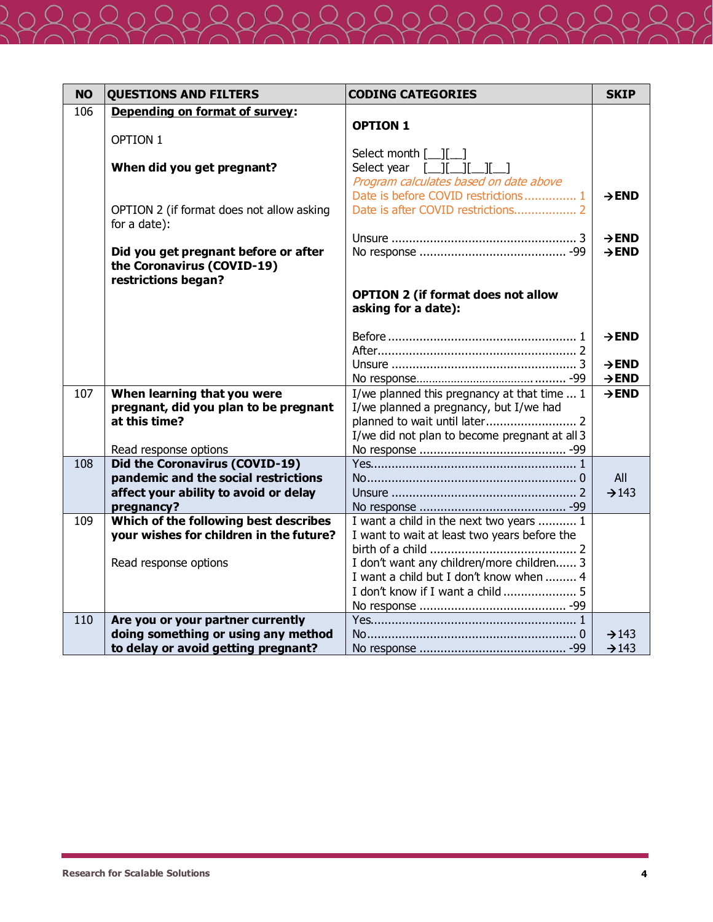| <b>NO</b> | <b>QUESTIONS AND FILTERS</b>                                                              | <b>CODING CATEGORIES</b>                                                              | <b>SKIP</b>       |
|-----------|-------------------------------------------------------------------------------------------|---------------------------------------------------------------------------------------|-------------------|
| 106       | Depending on format of survey:                                                            |                                                                                       |                   |
|           |                                                                                           | <b>OPTION 1</b>                                                                       |                   |
|           | OPTION 1                                                                                  |                                                                                       |                   |
|           | When did you get pregnant?                                                                | Select month $[\ ][\ ]$<br>Select year [__][__][__]                                   |                   |
|           |                                                                                           | Program calculates based on date above                                                |                   |
|           |                                                                                           | Date is before COVID restrictions 1                                                   | $\rightarrow$ END |
|           | OPTION 2 (if format does not allow asking<br>for a date):                                 |                                                                                       |                   |
|           |                                                                                           |                                                                                       | $\rightarrow$ END |
|           | Did you get pregnant before or after<br>the Coronavirus (COVID-19)<br>restrictions began? |                                                                                       | $\rightarrow$ END |
|           |                                                                                           | <b>OPTION 2 (if format does not allow</b>                                             |                   |
|           |                                                                                           | asking for a date):                                                                   |                   |
|           |                                                                                           |                                                                                       |                   |
|           |                                                                                           |                                                                                       | $\rightarrow$ END |
|           |                                                                                           |                                                                                       |                   |
|           |                                                                                           |                                                                                       | $\rightarrow$ END |
| 107       |                                                                                           |                                                                                       | $\rightarrow$ END |
|           | When learning that you were<br>pregnant, did you plan to be pregnant                      | I/we planned this pregnancy at that time  1<br>I/we planned a pregnancy, but I/we had | $\rightarrow$ END |
|           | at this time?                                                                             |                                                                                       |                   |
|           |                                                                                           | I/we did not plan to become pregnant at all 3                                         |                   |
|           | Read response options                                                                     |                                                                                       |                   |
| 108       | Did the Coronavirus (COVID-19)                                                            |                                                                                       |                   |
|           | pandemic and the social restrictions                                                      |                                                                                       | All               |
|           | affect your ability to avoid or delay                                                     |                                                                                       | $\rightarrow$ 143 |
|           | pregnancy?                                                                                |                                                                                       |                   |
| 109       | Which of the following best describes                                                     | I want a child in the next two years  1                                               |                   |
|           | your wishes for children in the future?                                                   | I want to wait at least two years before the                                          |                   |
|           |                                                                                           |                                                                                       |                   |
|           | Read response options                                                                     | I don't want any children/more children 3                                             |                   |
|           |                                                                                           | I want a child but I don't know when  4                                               |                   |
|           |                                                                                           |                                                                                       |                   |
| 110       | Are you or your partner currently                                                         |                                                                                       |                   |
|           | doing something or using any method                                                       |                                                                                       | $\rightarrow$ 143 |
|           | to delay or avoid getting pregnant?                                                       |                                                                                       | $\rightarrow$ 143 |
|           |                                                                                           |                                                                                       |                   |

 $\overline{\mathcal{L}}$  (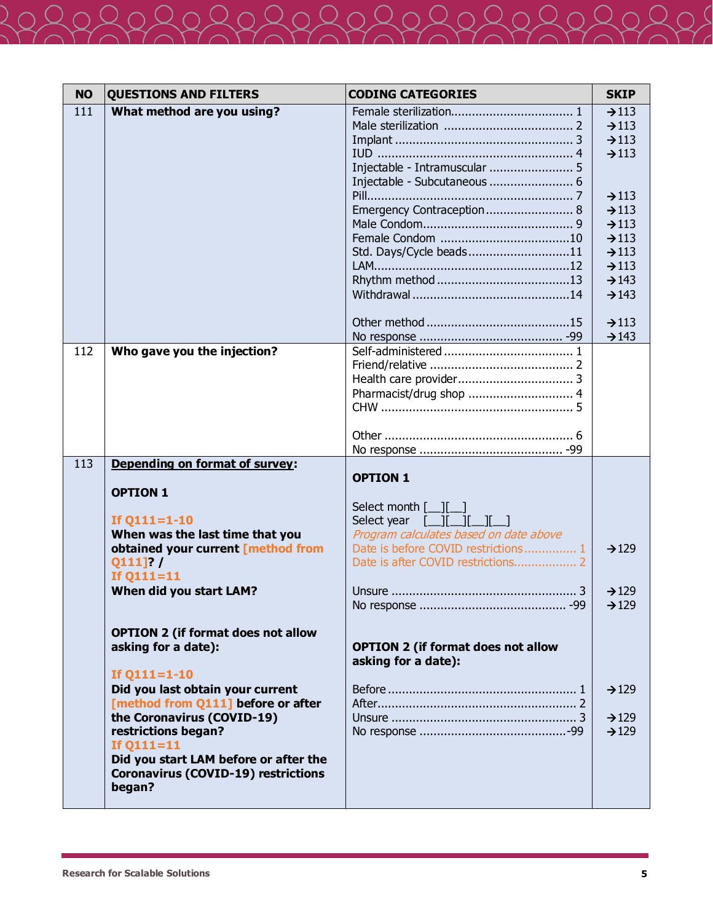| <b>NO</b> | <b>QUESTIONS AND FILTERS</b>               | <b>CODING CATEGORIES</b>                                                                                    | <b>SKIP</b>                            |
|-----------|--------------------------------------------|-------------------------------------------------------------------------------------------------------------|----------------------------------------|
| 111       | What method are you using?                 |                                                                                                             | $\rightarrow$ 113                      |
|           |                                            |                                                                                                             | $\rightarrow$ 113                      |
|           |                                            |                                                                                                             | $\rightarrow$ 113                      |
|           |                                            |                                                                                                             | $\rightarrow$ 113                      |
|           |                                            | Injectable - Intramuscular  5                                                                               |                                        |
|           |                                            |                                                                                                             |                                        |
|           |                                            |                                                                                                             | $\rightarrow$ 113                      |
|           |                                            | Emergency Contraception 8                                                                                   | $\rightarrow$ 113                      |
|           |                                            |                                                                                                             | $\rightarrow$ 113                      |
|           |                                            |                                                                                                             | $\rightarrow$ 113                      |
|           |                                            | Std. Days/Cycle beads11                                                                                     | $\rightarrow$ 113<br>$\rightarrow$ 113 |
|           |                                            |                                                                                                             | $\rightarrow$ 143                      |
|           |                                            |                                                                                                             | $\rightarrow$ 143                      |
|           |                                            |                                                                                                             |                                        |
|           |                                            |                                                                                                             | $\rightarrow$ 113                      |
|           |                                            |                                                                                                             | $\rightarrow$ 143                      |
| 112       | Who gave you the injection?                |                                                                                                             |                                        |
|           |                                            |                                                                                                             |                                        |
|           |                                            |                                                                                                             |                                        |
|           |                                            |                                                                                                             |                                        |
|           |                                            |                                                                                                             |                                        |
|           |                                            |                                                                                                             |                                        |
|           |                                            |                                                                                                             |                                        |
| 113       | Depending on format of survey:             |                                                                                                             |                                        |
|           |                                            | <b>OPTION 1</b>                                                                                             |                                        |
|           | <b>OPTION 1</b>                            |                                                                                                             |                                        |
|           |                                            | Select month [ <i>__</i> ][ <i>__</i> ]                                                                     |                                        |
|           | If $Q111=1-10$                             | Select year $\begin{bmatrix} 1 & 1 \\ -1 & 1 \end{bmatrix}$ $\begin{bmatrix} 1 & 1 \\ -1 & 1 \end{bmatrix}$ |                                        |
|           | When was the last time that you            | Program calculates based on date above                                                                      |                                        |
|           | obtained your current [method from         | Date is before COVID restrictions 1                                                                         | $\rightarrow$ 129                      |
|           | $Q111$ ]? /                                |                                                                                                             |                                        |
|           | If $Q111 = 11$                             |                                                                                                             |                                        |
|           | When did you start LAM?                    |                                                                                                             | $\rightarrow$ 129                      |
|           |                                            |                                                                                                             | $\rightarrow$ 129                      |
|           | <b>OPTION 2 (if format does not allow</b>  |                                                                                                             |                                        |
|           | asking for a date):                        | <b>OPTION 2 (if format does not allow</b>                                                                   |                                        |
|           |                                            | asking for a date):                                                                                         |                                        |
|           | If $Q111=1-10$                             |                                                                                                             |                                        |
|           | Did you last obtain your current           |                                                                                                             | $\rightarrow$ 129                      |
|           | [method from Q111] before or after         |                                                                                                             |                                        |
|           | the Coronavirus (COVID-19)                 |                                                                                                             | $\rightarrow$ 129                      |
|           | restrictions began?                        |                                                                                                             | $\rightarrow$ 129                      |
|           | If $Q111 = 11$                             |                                                                                                             |                                        |
|           | Did you start LAM before or after the      |                                                                                                             |                                        |
|           | <b>Coronavirus (COVID-19) restrictions</b> |                                                                                                             |                                        |
|           | began?                                     |                                                                                                             |                                        |
|           |                                            |                                                                                                             |                                        |

 $\overline{2}$  (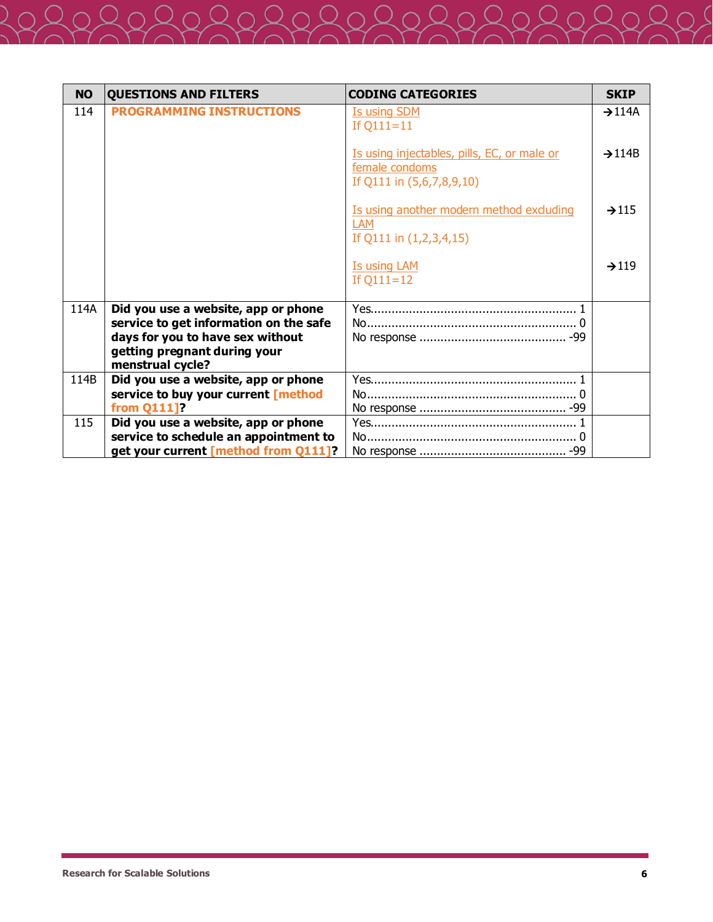| <b>NO</b> | <b>QUESTIONS AND FILTERS</b>                                                         | <b>CODING CATEGORIES</b>                                                                   | <b>SKIP</b>        |
|-----------|--------------------------------------------------------------------------------------|--------------------------------------------------------------------------------------------|--------------------|
| 114       | <b>PROGRAMMING INSTRUCTIONS</b>                                                      | <b>Is using SDM</b><br>If $Q111 = 11$                                                      | $\rightarrow$ 114A |
|           |                                                                                      | Is using injectables, pills, EC, or male or<br>female condoms<br>If Q111 in (5,6,7,8,9,10) | $\rightarrow$ 114B |
|           |                                                                                      | Is using another modern method excluding<br><b>LAM</b><br>If Q111 in (1,2,3,4,15)          | $\rightarrow$ 115  |
|           |                                                                                      | <b>Is using LAM</b><br>If $Q111 = 12$                                                      | $\rightarrow$ 119  |
| 114A      | Did you use a website, app or phone<br>service to get information on the safe        |                                                                                            |                    |
|           | days for you to have sex without<br>getting pregnant during your<br>menstrual cycle? |                                                                                            |                    |
| 114B      | Did you use a website, app or phone                                                  |                                                                                            |                    |
|           | service to buy your current [method<br>from Q111]?                                   |                                                                                            |                    |
| 115       | Did you use a website, app or phone                                                  |                                                                                            |                    |
|           | service to schedule an appointment to                                                |                                                                                            |                    |
|           | get your current [method from Q111]?                                                 |                                                                                            |                    |

 $\overline{2}$  (

 $205$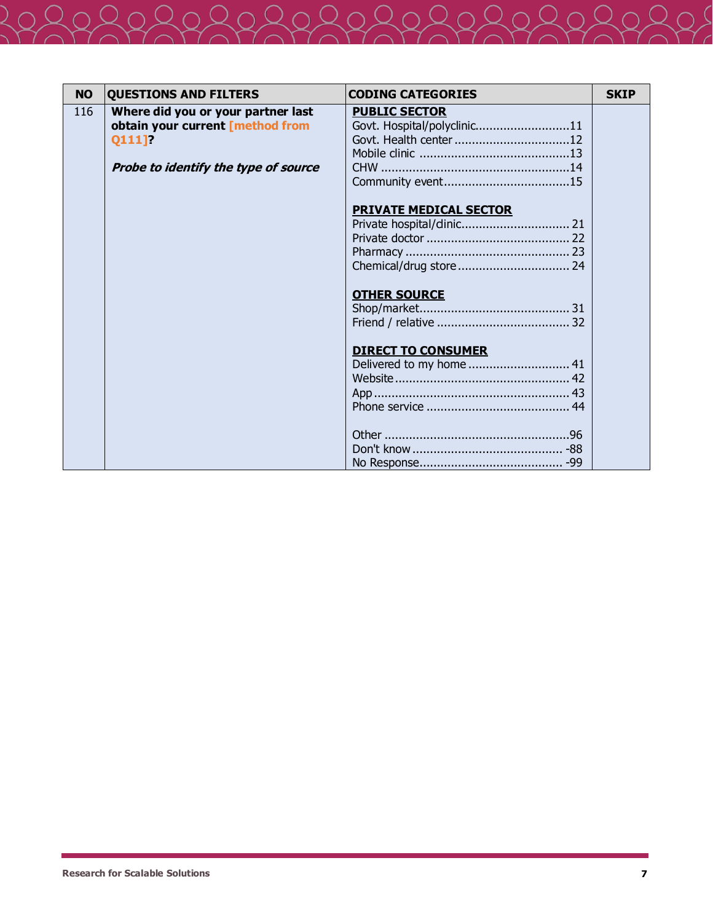| <b>NO</b> | <b>QUESTIONS AND FILTERS</b>                                                     | <b>CODING CATEGORIES</b>                                                      | <b>SKIP</b> |
|-----------|----------------------------------------------------------------------------------|-------------------------------------------------------------------------------|-------------|
| 116       | Where did you or your partner last<br>obtain your current [method from<br>Q111]? | <b>PUBLIC SECTOR</b><br>Govt. Hospital/polyclinic11<br>Govt. Health center 12 |             |
|           | Probe to identify the type of source                                             |                                                                               |             |
|           |                                                                                  | <b>PRIVATE MEDICAL SECTOR</b>                                                 |             |
|           |                                                                                  | <b>OTHER SOURCE</b>                                                           |             |
|           |                                                                                  | <b>DIRECT TO CONSUMER</b><br>Delivered to my home  41                         |             |
|           |                                                                                  |                                                                               |             |

Releferen

 $Q$ 

 $\mathcal{Q}_0$ 

 $\bigcap$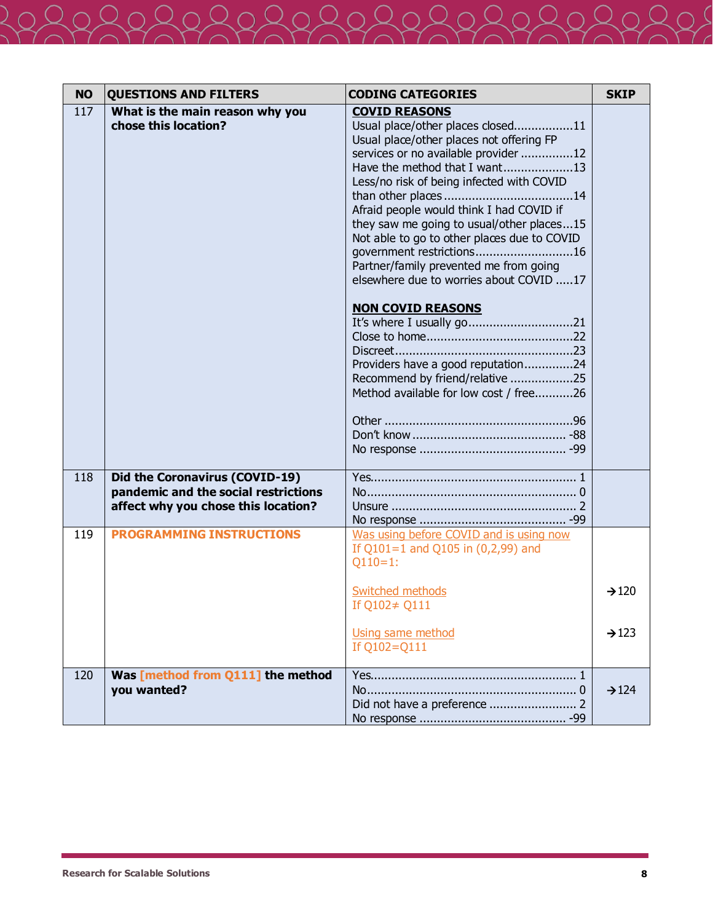| <b>NO</b> | <b>QUESTIONS AND FILTERS</b>                                                                                  | <b>CODING CATEGORIES</b>                                                                                                                                                                                                                                                                                                                                                                                                                                                                                                                                                                                                             | <b>SKIP</b>       |
|-----------|---------------------------------------------------------------------------------------------------------------|--------------------------------------------------------------------------------------------------------------------------------------------------------------------------------------------------------------------------------------------------------------------------------------------------------------------------------------------------------------------------------------------------------------------------------------------------------------------------------------------------------------------------------------------------------------------------------------------------------------------------------------|-------------------|
| 117       | What is the main reason why you<br>chose this location?                                                       | <b>COVID REASONS</b><br>Usual place/other places closed11<br>Usual place/other places not offering FP<br>services or no available provider 12<br>Have the method that I want13<br>Less/no risk of being infected with COVID<br>Afraid people would think I had COVID if<br>they saw me going to usual/other places15<br>Not able to go to other places due to COVID<br>government restrictions16<br>Partner/family prevented me from going<br>elsewhere due to worries about COVID 17<br><b>NON COVID REASONS</b><br>Providers have a good reputation24<br>Recommend by friend/relative 25<br>Method available for low cost / free26 |                   |
| 118       | Did the Coronavirus (COVID-19)<br>pandemic and the social restrictions<br>affect why you chose this location? |                                                                                                                                                                                                                                                                                                                                                                                                                                                                                                                                                                                                                                      |                   |
| 119       | <b>PROGRAMMING INSTRUCTIONS</b>                                                                               | Was using before COVID and is using now<br>If $Q101=1$ and $Q105$ in $(0,2,99)$ and<br>$Q110=1$ :                                                                                                                                                                                                                                                                                                                                                                                                                                                                                                                                    |                   |
|           |                                                                                                               | <b>Switched methods</b><br>If Q102≠ Q111                                                                                                                                                                                                                                                                                                                                                                                                                                                                                                                                                                                             | $\rightarrow$ 120 |
|           |                                                                                                               | Using same method<br>If Q102=Q111                                                                                                                                                                                                                                                                                                                                                                                                                                                                                                                                                                                                    | $\rightarrow$ 123 |
| 120       | Was [method from Q111] the method<br>you wanted?                                                              |                                                                                                                                                                                                                                                                                                                                                                                                                                                                                                                                                                                                                                      | $\rightarrow$ 124 |

 $\overline{2}$  (

 $205$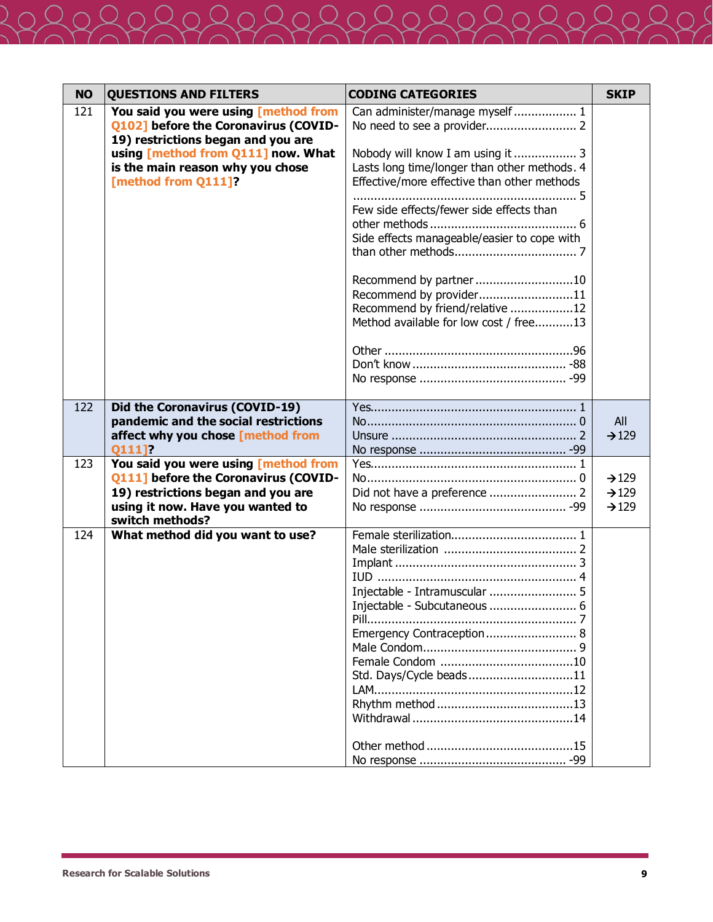| <b>NO</b> | <b>QUESTIONS AND FILTERS</b>                                                                                                                                              | <b>CODING CATEGORIES</b>                                                                                                                                                                                                                                                                                                                                      | <b>SKIP</b>                                                 |
|-----------|---------------------------------------------------------------------------------------------------------------------------------------------------------------------------|---------------------------------------------------------------------------------------------------------------------------------------------------------------------------------------------------------------------------------------------------------------------------------------------------------------------------------------------------------------|-------------------------------------------------------------|
| 121       | You said you were using [method from<br>Q102] before the Coronavirus (COVID-<br>19) restrictions began and you are                                                        | Can administer/manage myself  1                                                                                                                                                                                                                                                                                                                               |                                                             |
|           | using [method from Q111] now. What<br>is the main reason why you chose<br>[method from Q111]?                                                                             | Nobody will know I am using it  3<br>Lasts long time/longer than other methods. 4<br>Effective/more effective than other methods<br>Few side effects/fewer side effects than<br>Side effects manageable/easier to cope with<br>Recommend by partner10<br>Recommend by provider11<br>Recommend by friend/relative 12<br>Method available for low cost / free13 |                                                             |
|           |                                                                                                                                                                           |                                                                                                                                                                                                                                                                                                                                                               |                                                             |
| 122       | Did the Coronavirus (COVID-19)<br>pandemic and the social restrictions                                                                                                    |                                                                                                                                                                                                                                                                                                                                                               | All                                                         |
|           | affect why you chose [method from<br>0111]?                                                                                                                               |                                                                                                                                                                                                                                                                                                                                                               | $\rightarrow$ 129                                           |
| 123       | You said you were using [method from<br>Q111] before the Coronavirus (COVID-<br>19) restrictions began and you are<br>using it now. Have you wanted to<br>switch methods? |                                                                                                                                                                                                                                                                                                                                                               | $\rightarrow$ 129<br>$\rightarrow$ 129<br>$\rightarrow$ 129 |
| 124       | What method did you want to use?                                                                                                                                          | Injectable - Intramuscular  5<br>Injectable - Subcutaneous  6<br>Emergency Contraception 8<br>Std. Days/Cycle beads11                                                                                                                                                                                                                                         |                                                             |

 $\overline{2}$ 

 $205$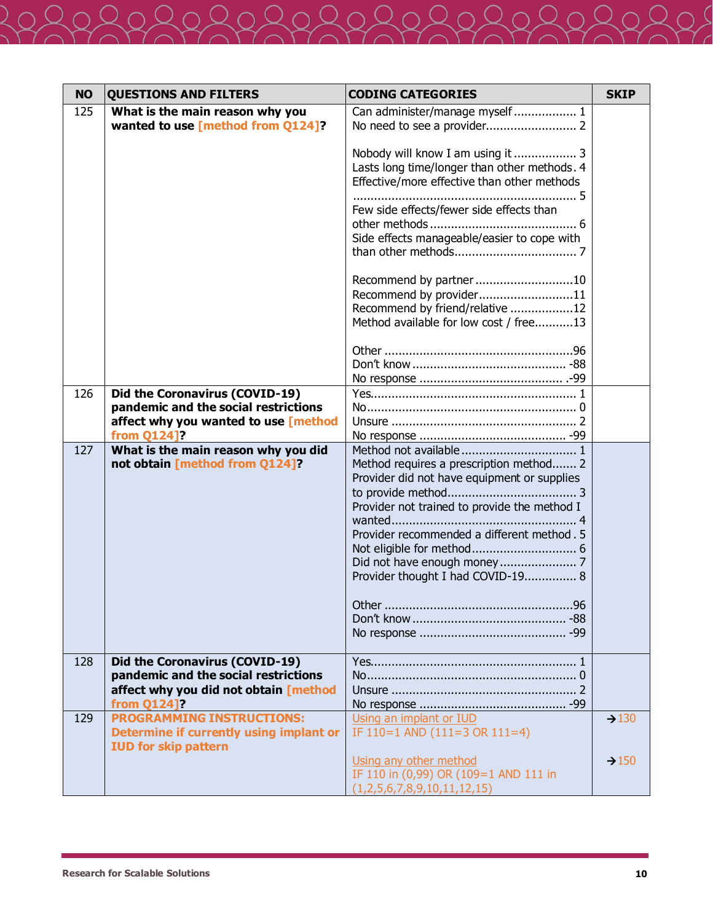| <b>NO</b> | <b>QUESTIONS AND FILTERS</b>                                                                                                   | <b>CODING CATEGORIES</b>                                                                                                                                                                                                  | <b>SKIP</b>       |
|-----------|--------------------------------------------------------------------------------------------------------------------------------|---------------------------------------------------------------------------------------------------------------------------------------------------------------------------------------------------------------------------|-------------------|
| 125       | What is the main reason why you<br>wanted to use [method from Q124]?                                                           | Can administer/manage myself  1                                                                                                                                                                                           |                   |
|           |                                                                                                                                | Nobody will know I am using it  3<br>Lasts long time/longer than other methods. 4<br>Effective/more effective than other methods                                                                                          |                   |
|           |                                                                                                                                | Few side effects/fewer side effects than                                                                                                                                                                                  |                   |
|           |                                                                                                                                | Side effects manageable/easier to cope with                                                                                                                                                                               |                   |
|           |                                                                                                                                | Recommend by partner10<br>Recommend by provider11<br>Recommend by friend/relative 12<br>Method available for low cost / free13                                                                                            |                   |
|           |                                                                                                                                |                                                                                                                                                                                                                           |                   |
| 126       | Did the Coronavirus (COVID-19)<br>pandemic and the social restrictions<br>affect why you wanted to use [method<br>from Q124]?  |                                                                                                                                                                                                                           |                   |
| 127       | What is the main reason why you did<br>not obtain [method from Q124]?                                                          | Method requires a prescription method 2<br>Provider did not have equipment or supplies<br>Provider not trained to provide the method I<br>Provider recommended a different method. 5<br>Provider thought I had COVID-19 8 |                   |
| 128       | Did the Coronavirus (COVID-19)<br>pandemic and the social restrictions<br>affect why you did not obtain [method<br>from Q124]? |                                                                                                                                                                                                                           |                   |
| 129       | <b>PROGRAMMING INSTRUCTIONS:</b><br>Determine if currently using implant or<br><b>IUD for skip pattern</b>                     | Using an implant or IUD<br>IF $110=1$ AND $(111=3$ OR $111=4)$                                                                                                                                                            | $\rightarrow$ 130 |
|           |                                                                                                                                | Using any other method<br>IF 110 in (0,99) OR (109=1 AND 111 in<br>(1,2,5,6,7,8,9,10,11,12,15)                                                                                                                            | $\rightarrow$ 150 |

 $\overline{2}$  (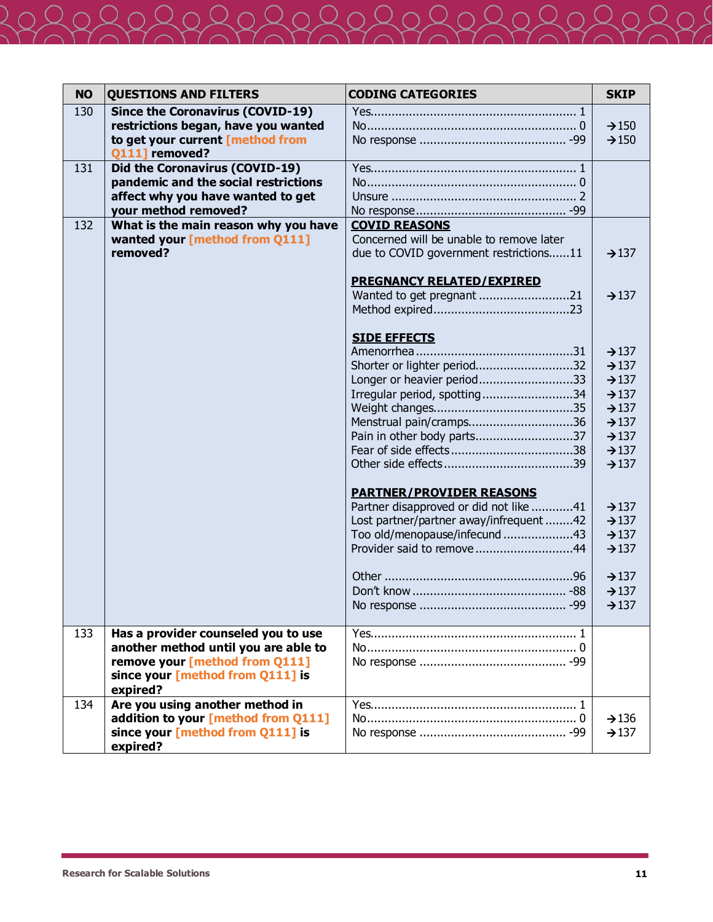| <b>NO</b> | <b>QUESTIONS AND FILTERS</b>                                           | <b>CODING CATEGORIES</b>                                                  | <b>SKIP</b>       |
|-----------|------------------------------------------------------------------------|---------------------------------------------------------------------------|-------------------|
| 130       | <b>Since the Coronavirus (COVID-19)</b>                                |                                                                           |                   |
|           | restrictions began, have you wanted                                    |                                                                           | $\rightarrow$ 150 |
|           | to get your current [method from                                       |                                                                           | $\rightarrow$ 150 |
|           | <b>O1111</b> removed?                                                  |                                                                           |                   |
| 131       | Did the Coronavirus (COVID-19)                                         |                                                                           |                   |
|           | pandemic and the social restrictions                                   |                                                                           |                   |
|           | affect why you have wanted to get                                      |                                                                           |                   |
|           | your method removed?                                                   |                                                                           |                   |
| 132       | What is the main reason why you have<br>wanted your [method from Q111] | <b>COVID REASONS</b><br>Concerned will be unable to remove later          |                   |
|           | removed?                                                               | due to COVID government restrictions11                                    | $\rightarrow$ 137 |
|           |                                                                        |                                                                           |                   |
|           |                                                                        | <b>PREGNANCY RELATED/EXPIRED</b>                                          |                   |
|           |                                                                        | Wanted to get pregnant 21                                                 | $\rightarrow$ 137 |
|           |                                                                        |                                                                           |                   |
|           |                                                                        |                                                                           |                   |
|           |                                                                        | <b>SIDE EFFECTS</b>                                                       |                   |
|           |                                                                        |                                                                           | $\rightarrow$ 137 |
|           |                                                                        | Shorter or lighter period32                                               | $\rightarrow$ 137 |
|           |                                                                        | Longer or heavier period33                                                | $\rightarrow$ 137 |
|           |                                                                        | Irregular period, spotting34                                              | $\rightarrow$ 137 |
|           |                                                                        |                                                                           | $\rightarrow$ 137 |
|           |                                                                        | Menstrual pain/cramps36                                                   | $\rightarrow$ 137 |
|           |                                                                        | Pain in other body parts37                                                | $\rightarrow$ 137 |
|           |                                                                        |                                                                           | $\rightarrow$ 137 |
|           |                                                                        |                                                                           | $\rightarrow$ 137 |
|           |                                                                        |                                                                           |                   |
|           |                                                                        | <b>PARTNER/PROVIDER REASONS</b><br>Partner disapproved or did not like 41 | $\rightarrow$ 137 |
|           |                                                                        | Lost partner/partner away/infrequent 42                                   | $\rightarrow$ 137 |
|           |                                                                        | Too old/menopause/infecund 43                                             | $\rightarrow$ 137 |
|           |                                                                        | Provider said to remove 44                                                | $\rightarrow$ 137 |
|           |                                                                        |                                                                           |                   |
|           |                                                                        |                                                                           | $\rightarrow$ 137 |
|           |                                                                        |                                                                           | $\rightarrow$ 137 |
|           |                                                                        |                                                                           | $\rightarrow$ 137 |
|           |                                                                        |                                                                           |                   |
| 133       | Has a provider counseled you to use                                    |                                                                           |                   |
|           | another method until you are able to                                   |                                                                           |                   |
|           | remove your [method from Q111]                                         |                                                                           |                   |
|           | since your [method from Q111] is                                       |                                                                           |                   |
|           | expired?                                                               |                                                                           |                   |
| 134       | Are you using another method in                                        |                                                                           |                   |
|           | addition to your [method from Q111]                                    |                                                                           | $\rightarrow$ 136 |
|           | since your [method from Q111] is                                       |                                                                           | $\rightarrow$ 137 |
|           | expired?                                                               |                                                                           |                   |

 $\overline{2}$  (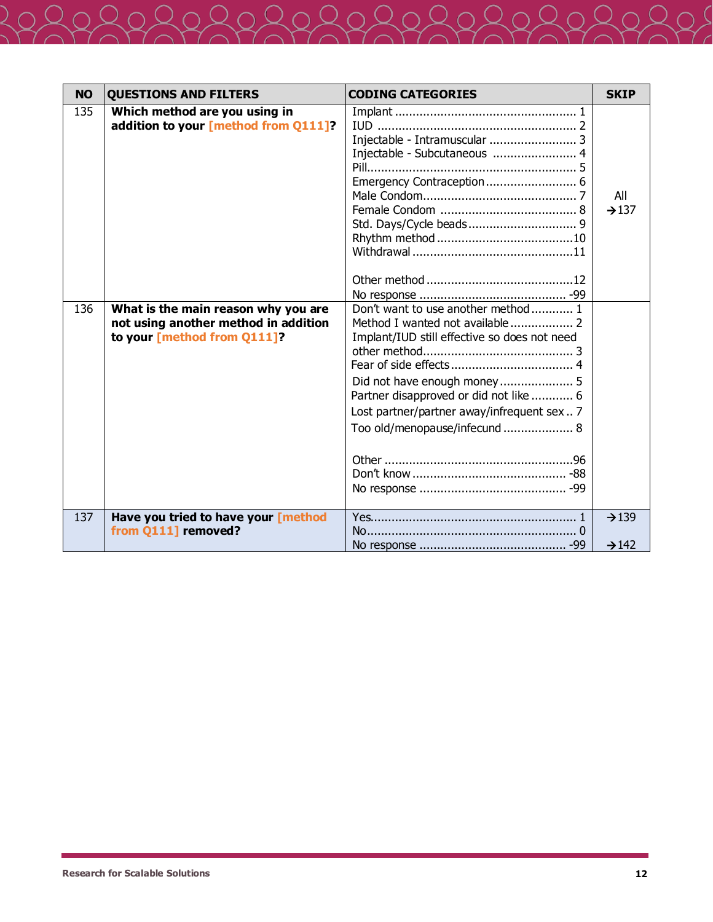| Injectable - Intramuscular  3<br>Injectable - Subcutaneous  4<br>Emergency Contraception 6<br>All                                                     |
|-------------------------------------------------------------------------------------------------------------------------------------------------------|
|                                                                                                                                                       |
|                                                                                                                                                       |
|                                                                                                                                                       |
|                                                                                                                                                       |
|                                                                                                                                                       |
|                                                                                                                                                       |
|                                                                                                                                                       |
| $\rightarrow$ 137                                                                                                                                     |
|                                                                                                                                                       |
|                                                                                                                                                       |
|                                                                                                                                                       |
|                                                                                                                                                       |
|                                                                                                                                                       |
|                                                                                                                                                       |
|                                                                                                                                                       |
|                                                                                                                                                       |
|                                                                                                                                                       |
|                                                                                                                                                       |
|                                                                                                                                                       |
|                                                                                                                                                       |
|                                                                                                                                                       |
|                                                                                                                                                       |
|                                                                                                                                                       |
|                                                                                                                                                       |
|                                                                                                                                                       |
|                                                                                                                                                       |
| $\rightarrow$ 139                                                                                                                                     |
|                                                                                                                                                       |
| $\rightarrow$ 142                                                                                                                                     |
| Did not have enough money 5<br>Partner disapproved or did not like  6<br>Lost partner/partner away/infrequent sex  7<br>Too old/menopause/infecund  8 |

 $\overline{2}$  (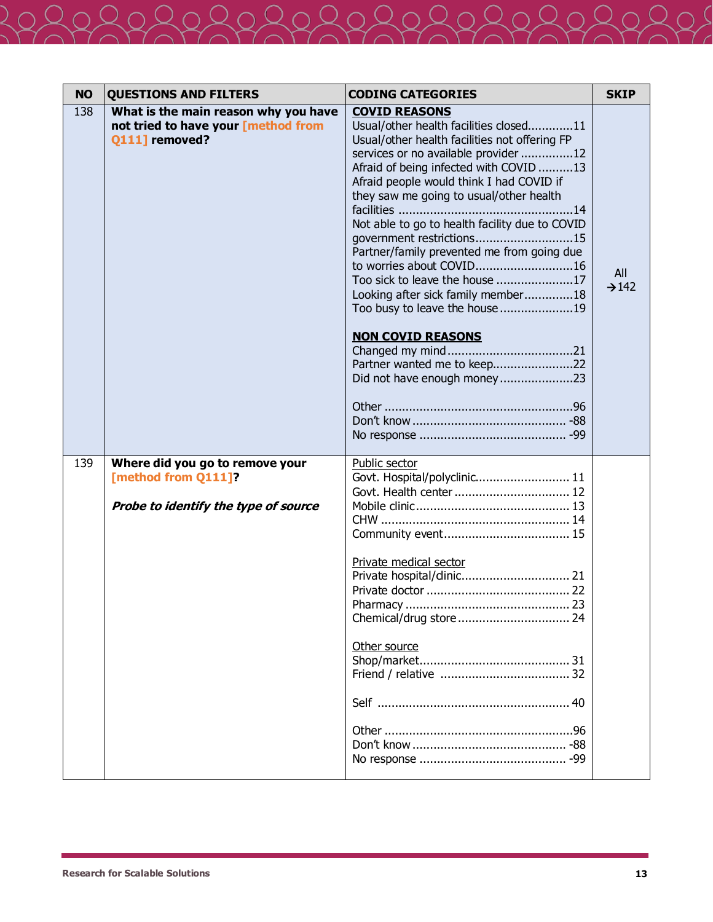| <b>NO</b> | <b>QUESTIONS AND FILTERS</b>                                                                   | <b>CODING CATEGORIES</b>                                                                                                                                                                                                                                                                                                                                                                                                                                                                                                                                                                                                                             | <b>SKIP</b>              |
|-----------|------------------------------------------------------------------------------------------------|------------------------------------------------------------------------------------------------------------------------------------------------------------------------------------------------------------------------------------------------------------------------------------------------------------------------------------------------------------------------------------------------------------------------------------------------------------------------------------------------------------------------------------------------------------------------------------------------------------------------------------------------------|--------------------------|
| 138       | What is the main reason why you have<br>not tried to have your [method from<br>Q111] removed?  | <b>COVID REASONS</b><br>Usual/other health facilities closed11<br>Usual/other health facilities not offering FP<br>services or no available provider 12<br>Afraid of being infected with COVID 13<br>Afraid people would think I had COVID if<br>they saw me going to usual/other health<br>Not able to go to health facility due to COVID<br>government restrictions15<br>Partner/family prevented me from going due<br>to worries about COVID16<br>Too sick to leave the house 17<br>Looking after sick family member18<br>Too busy to leave the house19<br><b>NON COVID REASONS</b><br>Partner wanted me to keep22<br>Did not have enough money23 | All<br>$\rightarrow$ 142 |
| 139       | Where did you go to remove your<br>[method from Q111]?<br>Probe to identify the type of source | Public sector<br>Govt. Hospital/polyclinic 11<br>Govt. Health center  12<br>Private medical sector<br>Other source                                                                                                                                                                                                                                                                                                                                                                                                                                                                                                                                   |                          |

 $\overline{2}$  (

JS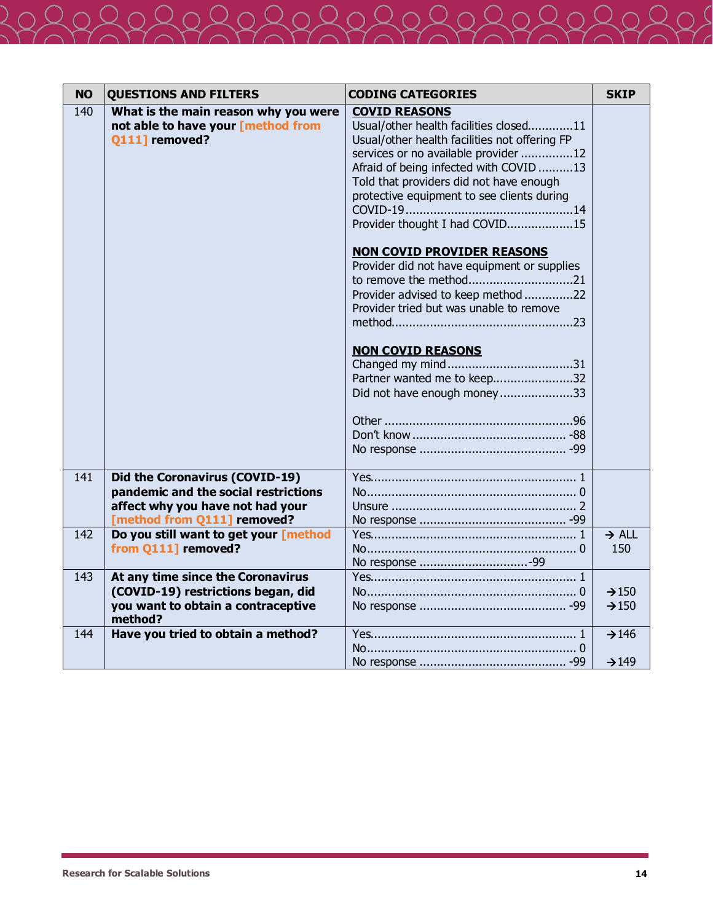| <b>NO</b> | <b>QUESTIONS AND FILTERS</b>                                                                                                              | <b>CODING CATEGORIES</b>                                                                                                                                                                                                                                                                                                                                                                                                                                                                                                                                                                                              | <b>SKIP</b>                            |
|-----------|-------------------------------------------------------------------------------------------------------------------------------------------|-----------------------------------------------------------------------------------------------------------------------------------------------------------------------------------------------------------------------------------------------------------------------------------------------------------------------------------------------------------------------------------------------------------------------------------------------------------------------------------------------------------------------------------------------------------------------------------------------------------------------|----------------------------------------|
| 140       | What is the main reason why you were<br>not able to have your [method from<br>Q111] removed?                                              | <b>COVID REASONS</b><br>Usual/other health facilities closed11<br>Usual/other health facilities not offering FP<br>services or no available provider 12<br>Afraid of being infected with COVID 13<br>Told that providers did not have enough<br>protective equipment to see clients during<br>Provider thought I had COVID15<br><b>NON COVID PROVIDER REASONS</b><br>Provider did not have equipment or supplies<br>to remove the method21<br>Provider advised to keep method 22<br>Provider tried but was unable to remove<br><b>NON COVID REASONS</b><br>Partner wanted me to keep32<br>Did not have enough money33 |                                        |
| 141       | Did the Coronavirus (COVID-19)<br>pandemic and the social restrictions<br>affect why you have not had your<br>[method from Q111] removed? |                                                                                                                                                                                                                                                                                                                                                                                                                                                                                                                                                                                                                       |                                        |
| 142       | Do you still want to get your [method<br>from Q111] removed?                                                                              |                                                                                                                                                                                                                                                                                                                                                                                                                                                                                                                                                                                                                       | $\rightarrow$ ALL<br>150               |
| 143       | At any time since the Coronavirus<br>(COVID-19) restrictions began, did<br>you want to obtain a contraceptive<br>method?                  |                                                                                                                                                                                                                                                                                                                                                                                                                                                                                                                                                                                                                       | $\rightarrow$ 150<br>$\rightarrow$ 150 |
| 144       | Have you tried to obtain a method?                                                                                                        |                                                                                                                                                                                                                                                                                                                                                                                                                                                                                                                                                                                                                       | $\rightarrow$ 146<br>$\rightarrow$ 149 |

 $\overline{2}$  (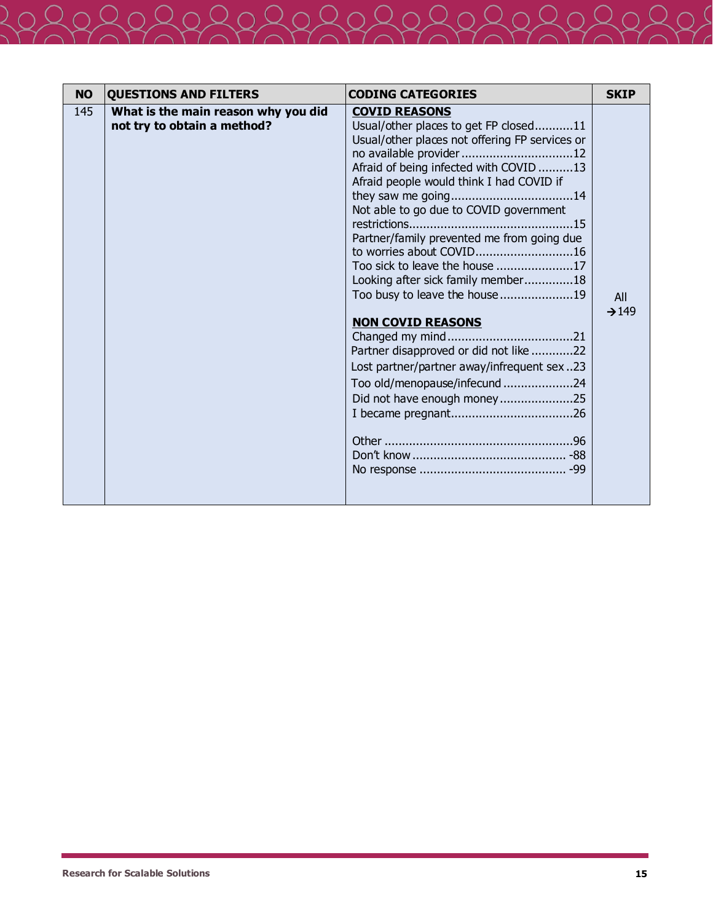| <b>NO</b><br><b>QUESTIONS AND FILTERS</b>                                 | <b>CODING CATEGORIES</b>                                                                                                                                                                                                                                                                                                                                                                                                                                                                                                                                                                                                                           | <b>SKIP</b>              |
|---------------------------------------------------------------------------|----------------------------------------------------------------------------------------------------------------------------------------------------------------------------------------------------------------------------------------------------------------------------------------------------------------------------------------------------------------------------------------------------------------------------------------------------------------------------------------------------------------------------------------------------------------------------------------------------------------------------------------------------|--------------------------|
| 145<br>What is the main reason why you did<br>not try to obtain a method? | <b>COVID REASONS</b><br>Usual/other places to get FP closed11<br>Usual/other places not offering FP services or<br>no available provider 12<br>Afraid of being infected with COVID 13<br>Afraid people would think I had COVID if<br>Not able to go due to COVID government<br>Partner/family prevented me from going due<br>to worries about COVID16<br>Too sick to leave the house 17<br>Looking after sick family member18<br>Too busy to leave the house19<br><b>NON COVID REASONS</b><br>Partner disapproved or did not like 22<br>Lost partner/partner away/infrequent sex23<br>Too old/menopause/infecund 24<br>Did not have enough money25 | All<br>$\rightarrow$ 149 |

 $\overline{2}$  (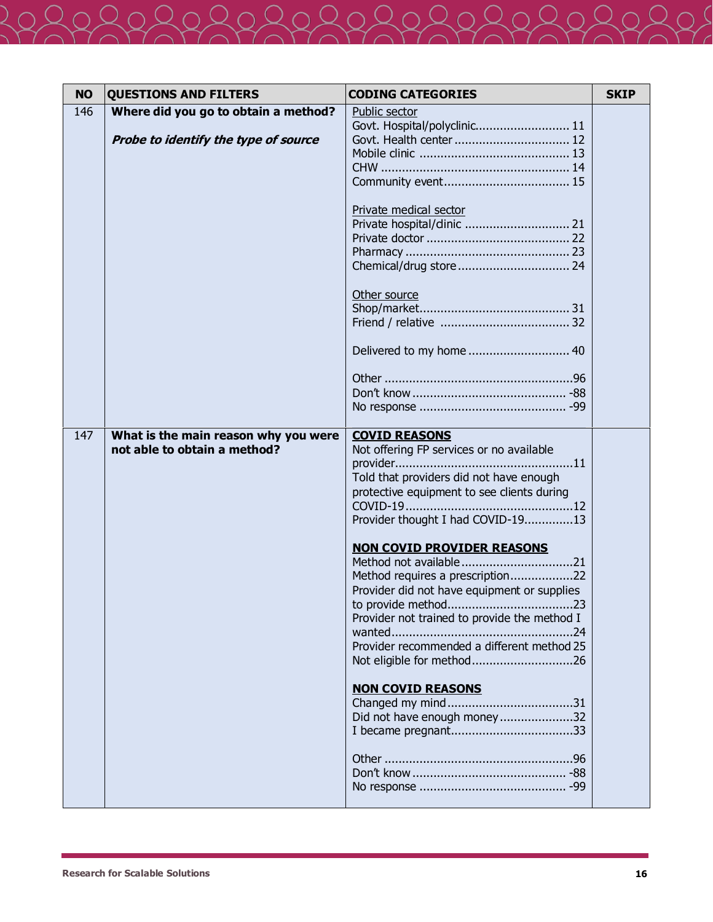| <b>NO</b> | <b>QUESTIONS AND FILTERS</b>         | <b>CODING CATEGORIES</b>                     | <b>SKIP</b> |
|-----------|--------------------------------------|----------------------------------------------|-------------|
| 146       | Where did you go to obtain a method? | Public sector                                |             |
|           |                                      | Govt. Hospital/polyclinic 11                 |             |
|           | Probe to identify the type of source | Govt. Health center  12                      |             |
|           |                                      |                                              |             |
|           |                                      |                                              |             |
|           |                                      |                                              |             |
|           |                                      | Private medical sector                       |             |
|           |                                      |                                              |             |
|           |                                      |                                              |             |
|           |                                      |                                              |             |
|           |                                      | Other source                                 |             |
|           |                                      |                                              |             |
|           |                                      |                                              |             |
|           |                                      | Delivered to my home  40                     |             |
|           |                                      |                                              |             |
|           |                                      |                                              |             |
|           |                                      |                                              |             |
| 147       | What is the main reason why you were | <b>COVID REASONS</b>                         |             |
|           | not able to obtain a method?         | Not offering FP services or no available     |             |
|           |                                      |                                              |             |
|           |                                      | Told that providers did not have enough      |             |
|           |                                      | protective equipment to see clients during   |             |
|           |                                      | Provider thought I had COVID-1913            |             |
|           |                                      | <b>NON COVID PROVIDER REASONS</b>            |             |
|           |                                      | Method not available21                       |             |
|           |                                      | Method requires a prescription22             |             |
|           |                                      | Provider did not have equipment or supplies  |             |
|           |                                      |                                              |             |
|           |                                      | Provider not trained to provide the method I |             |
|           |                                      | Provider recommended a different method 25   |             |
|           |                                      | Not eligible for method26                    |             |
|           |                                      |                                              |             |
|           |                                      | <b>NON COVID REASONS</b>                     |             |
|           |                                      | Did not have enough money32                  |             |
|           |                                      |                                              |             |
|           |                                      |                                              |             |
|           |                                      |                                              |             |
|           |                                      |                                              |             |
|           |                                      |                                              |             |

( -)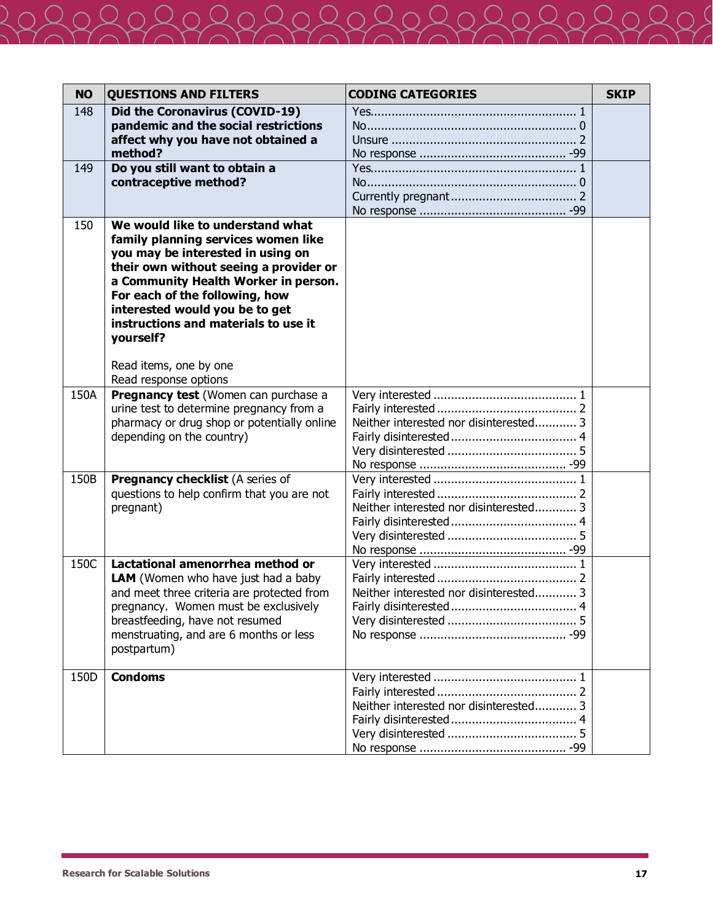| <b>NO</b> | <b>QUESTIONS AND FILTERS</b>                                                                                                                                                                                                                                                                                                                                               | <b>CODING CATEGORIES</b>               | <b>SKIP</b> |
|-----------|----------------------------------------------------------------------------------------------------------------------------------------------------------------------------------------------------------------------------------------------------------------------------------------------------------------------------------------------------------------------------|----------------------------------------|-------------|
| 148       | Did the Coronavirus (COVID-19)<br>pandemic and the social restrictions<br>affect why you have not obtained a<br>method?                                                                                                                                                                                                                                                    |                                        |             |
| 149       | Do you still want to obtain a<br>contraceptive method?                                                                                                                                                                                                                                                                                                                     |                                        |             |
| 150       | We would like to understand what<br>family planning services women like<br>you may be interested in using on<br>their own without seeing a provider or<br>a Community Health Worker in person.<br>For each of the following, how<br>interested would you be to get<br>instructions and materials to use it<br>yourself?<br>Read items, one by one<br>Read response options |                                        |             |
| 150A      | Pregnancy test (Women can purchase a<br>urine test to determine pregnancy from a<br>pharmacy or drug shop or potentially online<br>depending on the country)                                                                                                                                                                                                               | Neither interested nor disinterested 3 |             |
| 150B      | <b>Pregnancy checklist (A series of</b><br>questions to help confirm that you are not<br>pregnant)                                                                                                                                                                                                                                                                         | Neither interested nor disinterested 3 |             |
| 150C      | Lactational amenorrhea method or<br>LAM (Women who have just had a baby<br>and meet three criteria are protected from<br>pregnancy. Women must be exclusively<br>breastfeeding, have not resumed<br>menstruating, and are 6 months or less<br>postpartum)                                                                                                                  | Neither interested nor disinterested 3 |             |
| 150D      | <b>Condoms</b>                                                                                                                                                                                                                                                                                                                                                             | Neither interested nor disinterested 3 |             |

 $\overline{2}$  (